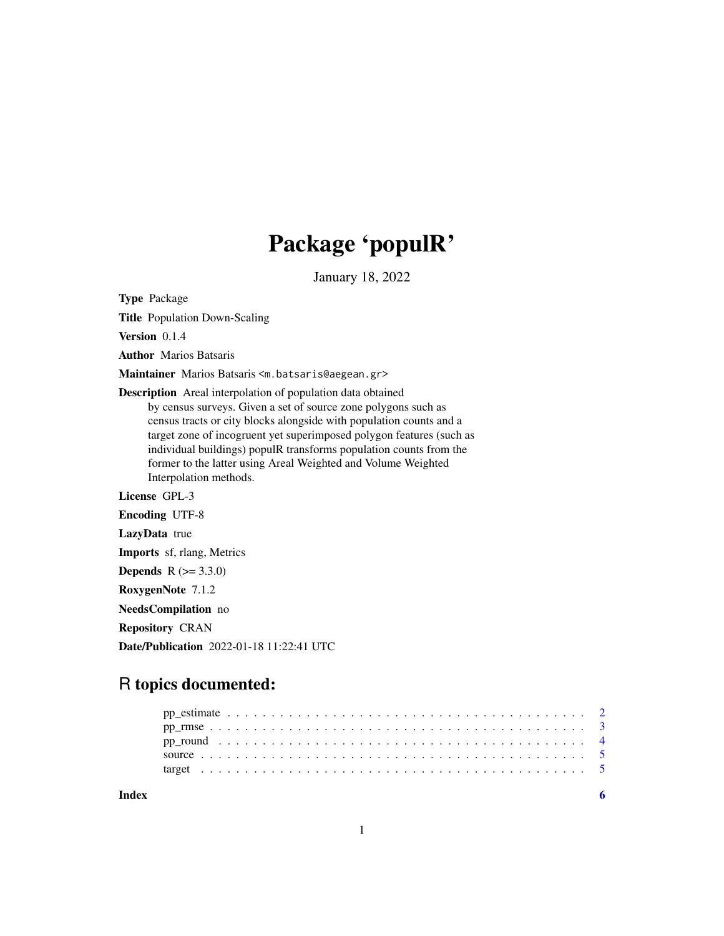## Package 'populR'

January 18, 2022

Type Package

Title Population Down-Scaling

Version 0.1.4

Author Marios Batsaris

Maintainer Marios Batsaris <m.batsaris@aegean.gr>

Description Areal interpolation of population data obtained by census surveys. Given a set of source zone polygons such as census tracts or city blocks alongside with population counts and a target zone of incogruent yet superimposed polygon features (such as individual buildings) populR transforms population counts from the former to the latter using Areal Weighted and Volume Weighted Interpolation methods.

License GPL-3

Encoding UTF-8

LazyData true

Imports sf, rlang, Metrics

**Depends**  $R (= 3.3.0)$ 

RoxygenNote 7.1.2

NeedsCompilation no

Repository CRAN

Date/Publication 2022-01-18 11:22:41 UTC

### R topics documented:

**Index** [6](#page-5-0) **6**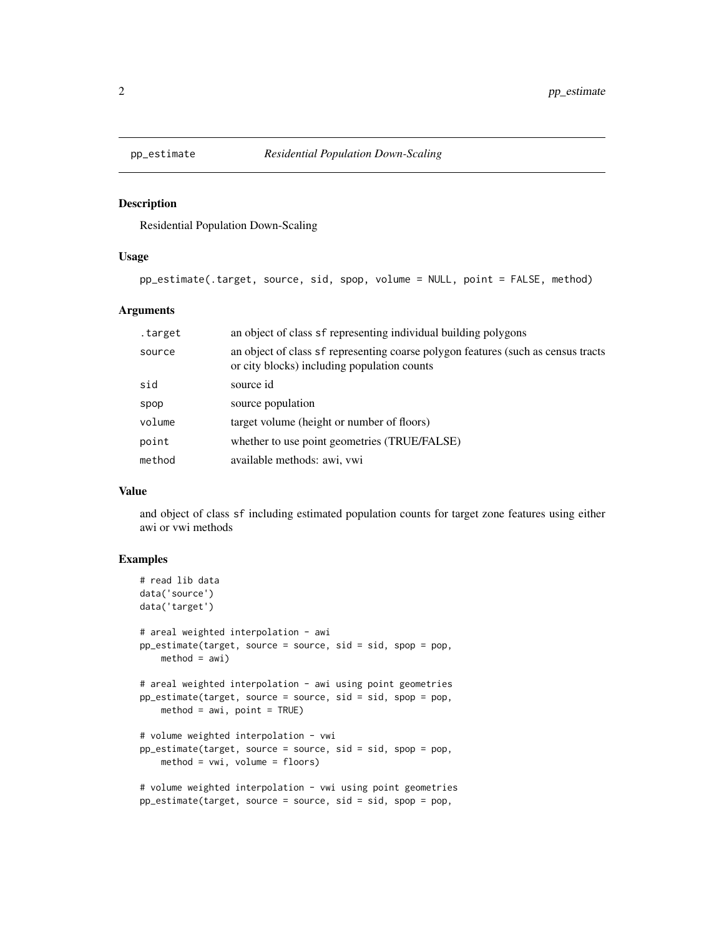<span id="page-1-1"></span><span id="page-1-0"></span>

#### Description

Residential Population Down-Scaling

#### Usage

```
pp_estimate(.target, source, sid, spop, volume = NULL, point = FALSE, method)
```
#### Arguments

| .target | an object of class sf representing individual building polygons                                                                  |
|---------|----------------------------------------------------------------------------------------------------------------------------------|
| source  | an object of class sf representing coarse polygon features (such as census tracts<br>or city blocks) including population counts |
| sid     | source id                                                                                                                        |
| spop    | source population                                                                                                                |
| volume  | target volume (height or number of floors)                                                                                       |
| point   | whether to use point geometries (TRUE/FALSE)                                                                                     |
| method  | available methods: awi, vwi                                                                                                      |

#### Value

and object of class sf including estimated population counts for target zone features using either awi or vwi methods

#### Examples

```
# read lib data
data('source')
data('target')
# areal weighted interpolation - awi
pp_estimate(target, source = source, sid = sid, spop = pop,
    method = awi)# areal weighted interpolation - awi using point geometries
pp_estimate(target, source = source, sid = sid, spop = pop,
   method = awi, point = TRUE)# volume weighted interpolation - vwi
pp_estimate(target, source = source, sid = sid, spop = pop,
    method = vwi, volume = floors)
# volume weighted interpolation - vwi using point geometries
pp_estimate(target, source = source, sid = sid, spop = pop,
```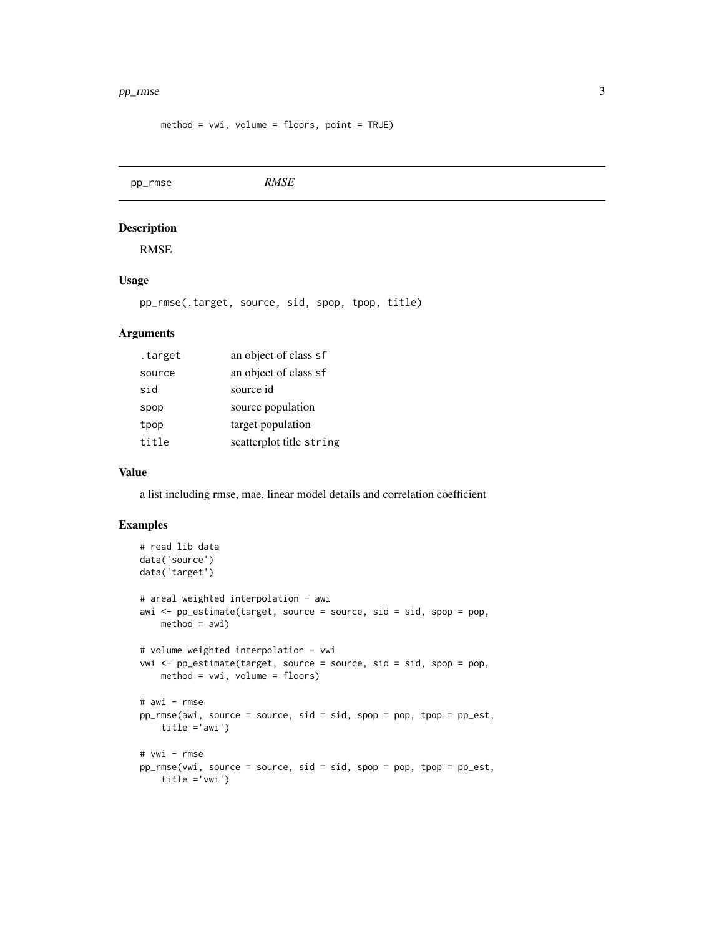#### <span id="page-2-0"></span> $pp\_rmse$  3

method = vwi, volume = floors, point = TRUE)

pp\_rmse *RMSE* Description

RMSE

#### Usage

pp\_rmse(.target, source, sid, spop, tpop, title)

#### Arguments

| .target | an object of class sf    |
|---------|--------------------------|
| source  | an object of class sf    |
| sid     | source id                |
| spop    | source population        |
| tpop    | target population        |
| title   | scatterplot title string |
|         |                          |

#### Value

a list including rmse, mae, linear model details and correlation coefficient

#### Examples

```
# read lib data
data('source')
data('target')
# areal weighted interpolation - awi
awi <- pp_estimate(target, source = source, sid = sid, spop = pop,
   method = awi)# volume weighted interpolation - vwi
vwi <- pp_estimate(target, source = source, sid = sid, spop = pop,
   method = vwi, volume = floors)
# awi - rmse
pp_rmse(awi, source = source, sid = sid, spop = pop, tpop = pp_est,
    title ='awi')
# vwi - rmse
pp_rmse(vwi, source = source, sid = sid, spop = pop, tpop = pp_est,
    title ='vwi')
```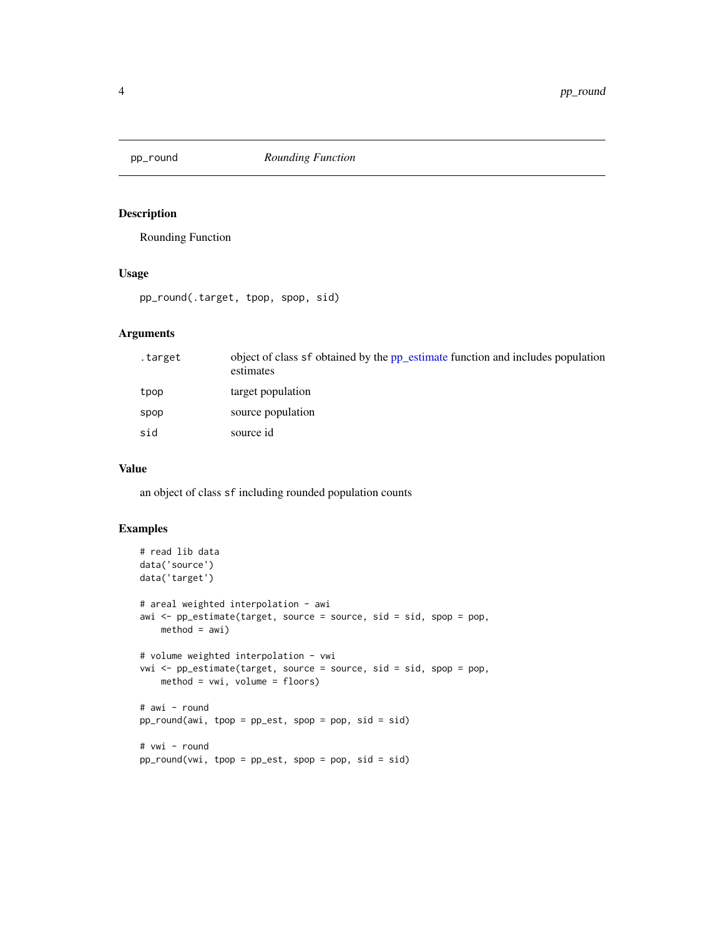<span id="page-3-0"></span>

#### Description

Rounding Function

#### Usage

pp\_round(.target, tpop, spop, sid)

#### Arguments

| .target | object of class sf obtained by the pp_estimate function and includes population<br>estimates |
|---------|----------------------------------------------------------------------------------------------|
| tpop    | target population                                                                            |
| spop    | source population                                                                            |
| sid     | source id                                                                                    |

#### Value

an object of class sf including rounded population counts

#### Examples

```
# read lib data
data('source')
data('target')
# areal weighted interpolation - awi
awi <- pp_estimate(target, source = source, sid = sid, spop = pop,
    method = awi)# volume weighted interpolation - vwi
vwi <- pp_estimate(target, source = source, sid = sid, spop = pop,
    method = vwi, volume = floors)
# awi - round
pp_round(awi, tpop = pp_est, spop = pop, sid = sid)
# vwi - round
pp_round(vwi, tpop = pp_est, spop = pop, sid = sid)
```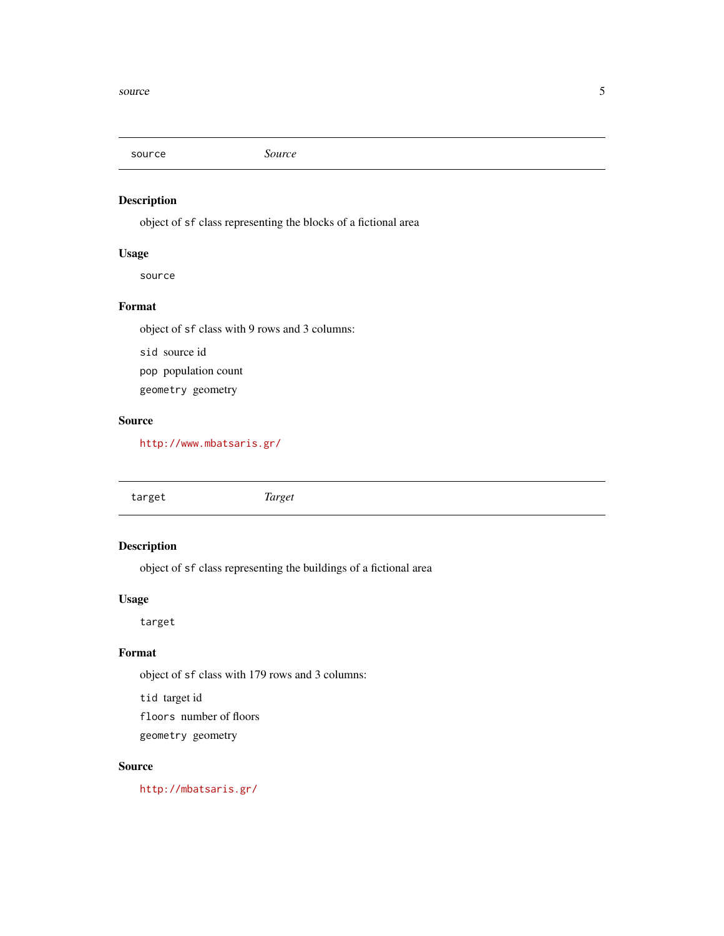<span id="page-4-0"></span>

#### Description

object of sf class representing the blocks of a fictional area

#### Usage

source

#### Format

object of sf class with 9 rows and 3 columns:

sid source id

pop population count

geometry geometry

#### Source

<http://www.mbatsaris.gr/>

target *Target*

#### Description

object of sf class representing the buildings of a fictional area

#### Usage

target

#### Format

object of sf class with 179 rows and 3 columns:

tid target id

floors number of floors

geometry geometry

#### Source

<http://mbatsaris.gr/>